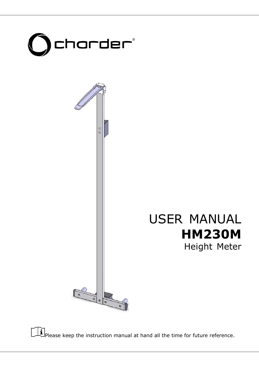



 $\mathbf{F}$  Please keep the instruction manual at hand all the time for future reference.

1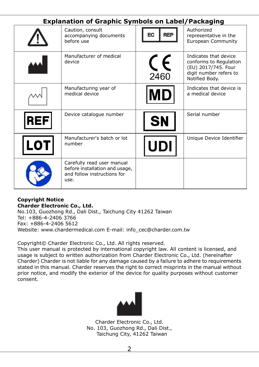### **Explanation of Graphic Symbols on Label/Packaging**

|            | Caution, consult<br>accompanying documents<br>before use                                            | <b>REP</b><br>EC   | Authorized<br>representative in the<br>European Community                                                          |
|------------|-----------------------------------------------------------------------------------------------------|--------------------|--------------------------------------------------------------------------------------------------------------------|
|            | Manufacturer of medical<br>device                                                                   | $\epsilon$<br>2460 | Indicates that device<br>conforms to Regulation<br>(EU) 2017/745. Four<br>digit number refers to<br>Notified Body. |
|            | Manufacturing year of<br>medical device                                                             |                    | Indicates that device is<br>a medical device                                                                       |
| REF        | Device catalogue number                                                                             | <b>SN</b>          | Serial number                                                                                                      |
| <b>LOT</b> | Manufacturer's batch or lot<br>number                                                               | UDI                | Unique Device Identifier                                                                                           |
|            | Carefully read user manual<br>before installation and usage,<br>and follow instructions for<br>use. |                    |                                                                                                                    |

#### **Copyright Notice Charder Electronic Co., Ltd.**

No.103, Guozhong Rd., Dali Dist., Taichung City 41262 Taiwan Tel: +886-4-2406 3766 Fax: +886-4-2406 5612 Website: www.chardermedical.com E-mail: info\_cec@charder.com.tw

Copyright© Charder Electronic Co., Ltd. All rights reserved.

This user manual is protected by international copyright law. All content is licensed, and usage is subject to written authorization from Charder Electronic Co., Ltd. (hereinafter Charder) Charder is not liable for any damage caused by a failure to adhere to requirements stated in this manual. Charder reserves the right to correct misprints in the manual without prior notice, and modify the exterior of the device for quality purposes without customer consent.



Charder Electronic Co., Ltd. No. 103, Guozhong Rd., Dali Dist., Taichung City, 41262 Taiwan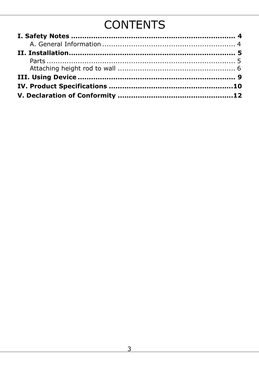# **CONTENTS**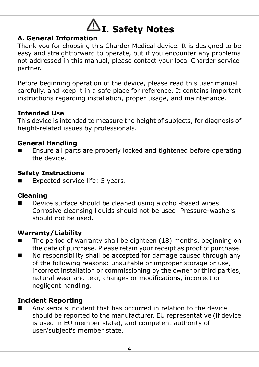<span id="page-3-0"></span>

#### <span id="page-3-1"></span>**A. General Information**

Thank you for choosing this Charder Medical device. It is designed to be easy and straightforward to operate, but if you encounter any problems not addressed in this manual, please contact your local Charder service partner.

Before beginning operation of the device, please read this user manual carefully, and keep it in a safe place for reference. It contains important instructions regarding installation, proper usage, and maintenance.

#### **Intended Use**

This device is intended to measure the height of subjects, for diagnosis of height-related issues by professionals.

#### **General Handling**

 Ensure all parts are properly locked and tightened before operating the device.

#### **Safety Instructions**

Expected service life: 5 years.

#### **Cleaning**

Device surface should be cleaned using alcohol-based wipes. Corrosive cleansing liquids should not be used. Pressure-washers should not be used.

#### **Warranty/Liability**

- $\blacksquare$  The period of warranty shall be eighteen (18) months, beginning on the date of purchase. Please retain your receipt as proof of purchase.
- No responsibility shall be accepted for damage caused through any of the following reasons: unsuitable or improper storage or use, incorrect installation or commissioning by the owner or third parties, natural wear and tear, changes or modifications, incorrect or negligent handling.

#### **Incident Reporting**

 Any serious incident that has occurred in relation to the device should be reported to the manufacturer, EU representative (if device is used in EU member state), and competent authority of user/subject's member state.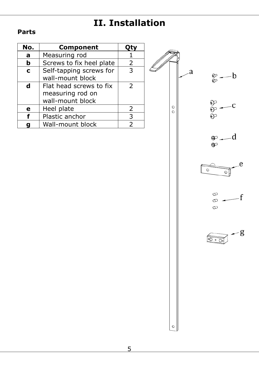## **II. Installation**

#### <span id="page-4-1"></span><span id="page-4-0"></span>**Parts**

| No.         | Component                |               |
|-------------|--------------------------|---------------|
| a           | Measuring rod            |               |
| b           | Screws to fix heel plate | 2             |
| $\mathbf c$ | Self-tapping screws for  | 3             |
|             | wall-mount block         |               |
| d           | Flat head screws to fix  | $\mathcal{P}$ |
|             | measuring rod on         |               |
|             | wall-mount block         |               |
| е           | Heel plate               | 2             |
|             | Plastic anchor           | 3             |
|             | Wall-mount block         | フ             |



 $\bullet$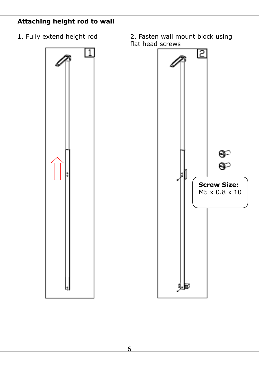#### <span id="page-5-0"></span>**Attaching height rod to wall**



1. Fully extend height rod 2. Fasten wall mount block using flat head screws

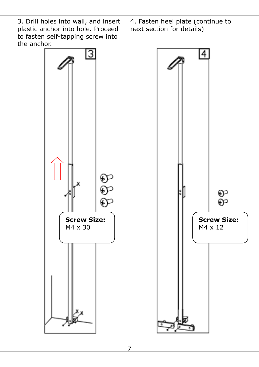3. Drill holes into wall, and insert plastic anchor into hole. Proceed to fasten self-tapping screw into the anchor.

4. Fasten heel plate (continue to next section for details)

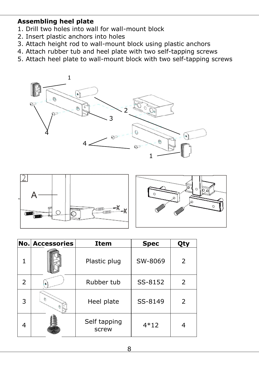#### **Assembling heel plate**

- 1. Drill two holes into wall for wall-mount block
- 2. Insert plastic anchors into holes
- 3. Attach height rod to wall-mount block using plastic anchors
- 4. Attach rubber tub and heel plate with two self-tapping screws
- 5. Attach heel plate to wall-mount block with two self-tapping screws





|               | <b>No. Accessories</b> | <b>Item</b>           | <b>Spec</b> | Qty |
|---------------|------------------------|-----------------------|-------------|-----|
|               |                        | Plastic plug          | SW-8069     | 2   |
| $\mathcal{P}$ |                        | Rubber tub            | SS-8152     | 2   |
| 3             | $\mathcal{D}$          | Heel plate            | SS-8149     | 2   |
| 4             |                        | Self tapping<br>screw | $4*12$      |     |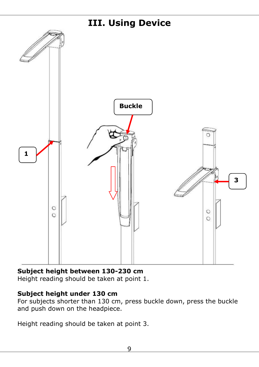<span id="page-8-0"></span>

#### **Subject height between 130-230 cm**

Height reading should be taken at point 1.

#### **Subject height under 130 cm**

For subjects shorter than 130 cm, press buckle down, press the buckle and push down on the headpiece.

Height reading should be taken at point 3.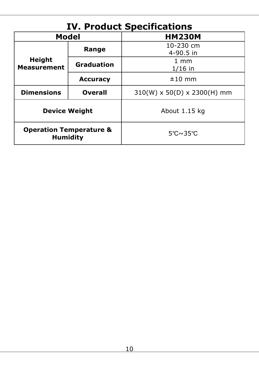<span id="page-9-0"></span>

| <b>IV. Product Specifications</b>                     |                   |                                         |  |
|-------------------------------------------------------|-------------------|-----------------------------------------|--|
| Model                                                 |                   | <b>HM230M</b>                           |  |
|                                                       | Range             | 10-230 cm<br>$4 - 90.5$ in              |  |
| <b>Height</b><br><b>Measurement</b>                   | <b>Graduation</b> | 1 mm<br>$1/16$ in                       |  |
|                                                       | <b>Accuracy</b>   | $±10$ mm                                |  |
| <b>Dimensions</b>                                     | <b>Overall</b>    | $310(W) \times 50(D) \times 2300(H)$ mm |  |
| <b>Device Weight</b>                                  |                   | About 1.15 kg                           |  |
| <b>Operation Temperature &amp;</b><br><b>Humidity</b> |                   | $5^{\circ}$ C $\sim$ 35 $^{\circ}$ C    |  |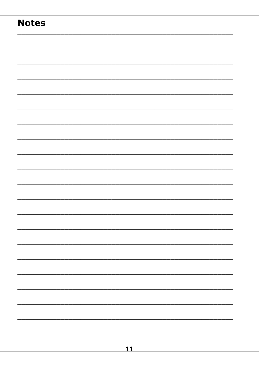### **Notes**